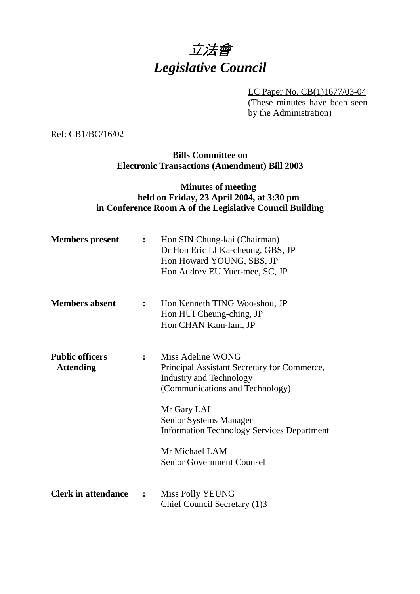

LC Paper No. CB(1)1677/03-04 (These minutes have been seen by the Administration)

Ref: CB1/BC/16/02

**Bills Committee on Electronic Transactions (Amendment) Bill 2003**

### **Minutes of meeting held on Friday, 23 April 2004, at 3:30 pm in Conference Room A of the Legislative Council Building**

| <b>Members</b> present                     | $\ddot{\cdot}$ | Hon SIN Chung-kai (Chairman)<br>Dr Hon Eric LI Ka-cheung, GBS, JP<br>Hon Howard YOUNG, SBS, JP<br>Hon Audrey EU Yuet-mee, SC, JP                                                                                                                                                          |
|--------------------------------------------|----------------|-------------------------------------------------------------------------------------------------------------------------------------------------------------------------------------------------------------------------------------------------------------------------------------------|
| <b>Members absent</b>                      | $\mathbf{L}$   | Hon Kenneth TING Woo-shou, JP<br>Hon HUI Cheung-ching, JP<br>Hon CHAN Kam-lam, JP                                                                                                                                                                                                         |
| <b>Public officers</b><br><b>Attending</b> |                | Miss Adeline WONG<br>Principal Assistant Secretary for Commerce,<br><b>Industry and Technology</b><br>(Communications and Technology)<br>Mr Gary LAI<br>Senior Systems Manager<br><b>Information Technology Services Department</b><br>Mr Michael LAM<br><b>Senior Government Counsel</b> |
| <b>Clerk in attendance</b>                 | $\ddot{\cdot}$ | <b>Miss Polly YEUNG</b><br>Chief Council Secretary (1)3                                                                                                                                                                                                                                   |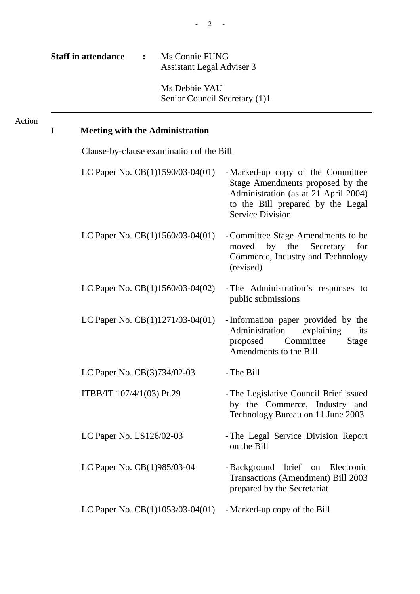Ms Debbie YAU Senior Council Secretary (1)1

## Action

# **I Meeting with the Administration**

| Clause-by-clause examination of the Bill |                                                                                                                                                                               |
|------------------------------------------|-------------------------------------------------------------------------------------------------------------------------------------------------------------------------------|
| LC Paper No. $CB(1)1590/03-04(01)$       | - Marked-up copy of the Committee<br>Stage Amendments proposed by the<br>Administration (as at 21 April 2004)<br>to the Bill prepared by the Legal<br><b>Service Division</b> |
| LC Paper No. $CB(1)1560/03-04(01)$       | - Committee Stage Amendments to be<br>by the<br>Secretary<br>moved<br>for<br>Commerce, Industry and Technology<br>(revised)                                                   |
| LC Paper No. $CB(1)1560/03-04(02)$       | - The Administration's responses to<br>public submissions                                                                                                                     |
| LC Paper No. CB(1)1271/03-04(01)         | -Information paper provided by the<br>Administration<br>explaining<br>its<br>Committee<br><b>Stage</b><br>proposed<br>Amendments to the Bill                                  |
| LC Paper No. CB(3)734/02-03              | - The Bill                                                                                                                                                                    |
| ITBB/IT 107/4/1(03) Pt.29                | - The Legislative Council Brief issued<br>by the Commerce, Industry and<br>Technology Bureau on 11 June 2003                                                                  |
| LC Paper No. LS126/02-03                 | - The Legal Service Division Report<br>on the Bill                                                                                                                            |
| LC Paper No. CB(1)985/03-04              | - Background<br>brief on Electronic<br>Transactions (Amendment) Bill 2003<br>prepared by the Secretariat                                                                      |
| LC Paper No. $CB(1)1053/03-04(01)$       | - Marked-up copy of the Bill                                                                                                                                                  |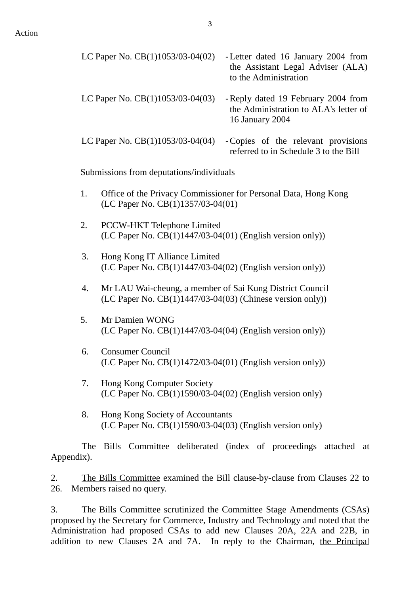| LC Paper No. $CB(1)1053/03-04(02)$       | - Letter dated 16 January 2004 from<br>the Assistant Legal Adviser (ALA)<br>to the Administration |
|------------------------------------------|---------------------------------------------------------------------------------------------------|
| LC Paper No. $CB(1)1053/03-04(03)$       | - Reply dated 19 February 2004 from<br>the Administration to ALA's letter of<br>16 January 2004   |
| LC Paper No. $CB(1)1053/03-04(04)$       | -Copies of the relevant provisions<br>referred to in Schedule 3 to the Bill                       |
| Submissions from deputations/individuals |                                                                                                   |

- 1. Office of the Privacy Commissioner for Personal Data, Hong Kong (LC Paper No. CB(1)1357/03-04(01)
- 2. PCCW-HKT Telephone Limited (LC Paper No. CB(1)1447/03-04(01) (English version only))
- 3. Hong Kong IT Alliance Limited (LC Paper No. CB(1)1447/03-04(02) (English version only))
- 4. Mr LAU Wai-cheung, a member of Sai Kung District Council (LC Paper No. CB(1)1447/03-04(03) (Chinese version only))
- 5. Mr Damien WONG (LC Paper No. CB(1)1447/03-04(04) (English version only))
- 6. Consumer Council (LC Paper No. CB(1)1472/03-04(01) (English version only))
- 7. Hong Kong Computer Society (LC Paper No. CB(1)1590/03-04(02) (English version only)
- 8. Hong Kong Society of Accountants (LC Paper No. CB(1)1590/03-04(03) (English version only)

The Bills Committee deliberated (index of proceedings attached at Appendix).

2. The Bills Committee examined the Bill clause-by-clause from Clauses 22 to 26. Members raised no query.

3. The Bills Committee scrutinized the Committee Stage Amendments (CSAs) proposed by the Secretary for Commerce, Industry and Technology and noted that the Administration had proposed CSAs to add new Clauses 20A, 22A and 22B, in addition to new Clauses 2A and 7A. In reply to the Chairman, the Principal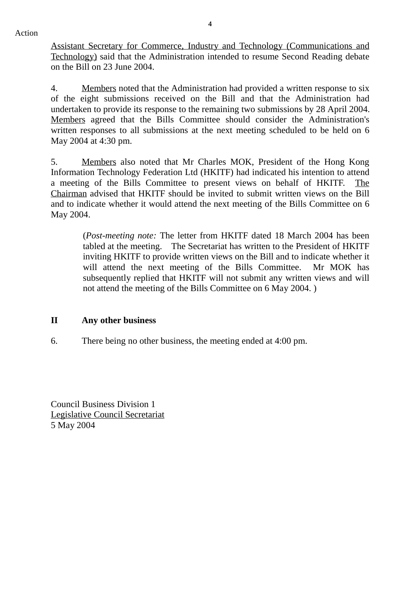Action

Assistant Secretary for Commerce, Industry and Technology (Communications and Technology) said that the Administration intended to resume Second Reading debate on the Bill on 23 June 2004.

4. Members noted that the Administration had provided a written response to six of the eight submissions received on the Bill and that the Administration had undertaken to provide its response to the remaining two submissions by 28 April 2004. Members agreed that the Bills Committee should consider the Administration's written responses to all submissions at the next meeting scheduled to be held on 6 May 2004 at 4:30 pm.

5. Members also noted that Mr Charles MOK, President of the Hong Kong Information Technology Federation Ltd (HKITF) had indicated his intention to attend a meeting of the Bills Committee to present views on behalf of HKITF. The Chairman advised that HKITF should be invited to submit written views on the Bill and to indicate whether it would attend the next meeting of the Bills Committee on 6 May 2004.

(*Post-meeting note:* The letter from HKITF dated 18 March 2004 has been tabled at the meeting. The Secretariat has written to the President of HKITF inviting HKITF to provide written views on the Bill and to indicate whether it will attend the next meeting of the Bills Committee. Mr MOK has subsequently replied that HKITF will not submit any written views and will not attend the meeting of the Bills Committee on 6 May 2004. )

### **II Any other business**

6. There being no other business, the meeting ended at 4:00 pm.

Council Business Division 1 Legislative Council Secretariat 5 May 2004